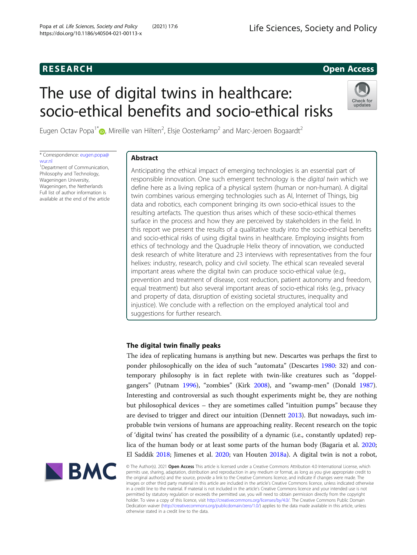# <span id="page-0-0"></span>**RESEARCH RESEARCH CONSUMING ACCESS**

# The use of digital twins in healthcare: socio-ethical benefits and socio-ethical risks



Eugen Octav Popa<sup>1[\\*](http://orcid.org/0000-0002-8214-8986)</sup> $\bm{\circ}$ , Mireille van Hilten<sup>2</sup>, Elsje Oosterkamp<sup>2</sup> and Marc-Jeroen Bogaardt<sup>2</sup>

\* Correspondence: [eugen.popa@](mailto:eugen.popa@wur.nl) [wur.nl](mailto:eugen.popa@wur.nl)

<sup>1</sup>Department of Communication, Philosophy and Technology, Wageningen University, Wageningen, the Netherlands Full list of author information is available at the end of the article

# Abstract

Anticipating the ethical impact of emerging technologies is an essential part of responsible innovation. One such emergent technology is the digital twin which we define here as a living replica of a physical system (human or non-human). A digital twin combines various emerging technologies such as AI, Internet of Things, big data and robotics, each component bringing its own socio-ethical issues to the resulting artefacts. The question thus arises which of these socio-ethical themes surface in the process and how they are perceived by stakeholders in the field. In this report we present the results of a qualitative study into the socio-ethical benefits and socio-ethical risks of using digital twins in healthcare. Employing insights from ethics of technology and the Quadruple Helix theory of innovation, we conducted desk research of white literature and 23 interviews with representatives from the four helixes: industry, research, policy and civil society. The ethical scan revealed several important areas where the digital twin can produce socio-ethical value (e.g., prevention and treatment of disease, cost reduction, patient autonomy and freedom, equal treatment) but also several important areas of socio-ethical risks (e.g., privacy and property of data, disruption of existing societal structures, inequality and injustice). We conclude with a reflection on the employed analytical tool and suggestions for further research.

# The digital twin finally peaks

The idea of replicating humans is anything but new. Descartes was perhaps the first to ponder philosophically on the idea of such "automata" (Descartes [1980:](#page-23-0) 32) and contemporary philosophy is in fact replete with twin-like creatures such as "doppelgangers" (Putnam [1996\)](#page-24-0), "zombies" (Kirk [2008](#page-23-0)), and "swamp-men" (Donald [1987](#page-23-0)). Interesting and controversial as such thought experiments might be, they are nothing but philosophical devices – they are sometimes called "intuition pumps" because they are devised to trigger and direct our intuition (Dennett [2013](#page-23-0)). But nowadays, such improbable twin versions of humans are approaching reality. Recent research on the topic of 'digital twins' has created the possibility of a dynamic (i.e., constantly updated) replica of the human body or at least some parts of the human body (Bagaria et al. [2020](#page-23-0); El Saddik [2018;](#page-23-0) Jimenes et al. [2020](#page-23-0); van Houten [2018a](#page-24-0)). A digital twin is not a robot,



© The Author(s). 2021 Open Access This article is licensed under a Creative Commons Attribution 4.0 International License, which permits use, sharing, adaptation, distribution and reproduction in any medium or format, as long as you give appropriate credit to the original author(s) and the source, provide a link to the Creative Commons licence, and indicate if changes were made. The images or other third party material in this article are included in the article's Creative Commons licence, unless indicated otherwise in a credit line to the material. If material is not included in the article's Creative Commons licence and your intended use is not permitted by statutory regulation or exceeds the permitted use, you will need to obtain permission directly from the copyright<br>holder. To view a copy of this licence, visit [http://creativecommons.org/licenses/by/4.0/.](http://creativecommons.org/licenses/by/4.0/) The Dedication waiver [\(http://creativecommons.org/publicdomain/zero/1.0/](http://creativecommons.org/publicdomain/zero/1.0/)) applies to the data made available in this article, unless otherwise stated in a credit line to the data.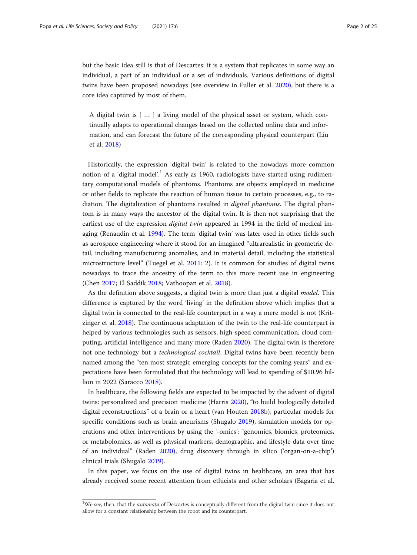but the basic idea still is that of Descartes: it is a system that replicates in some way an individual, a part of an individual or a set of individuals. Various definitions of digital twins have been proposed nowadays (see overview in Fuller et al. [2020\)](#page-23-0), but there is a core idea captured by most of them.

A digital twin is [ … ] a living model of the physical asset or system, which continually adapts to operational changes based on the collected online data and information, and can forecast the future of the corresponding physical counterpart (Liu et al. [2018\)](#page-24-0)

Historically, the expression 'digital twin' is related to the nowadays more common notion of a 'digital model'.<sup>1</sup> As early as 1960, radiologists have started using rudimentary computational models of phantoms. Phantoms are objects employed in medicine or other fields to replicate the reaction of human tissue to certain processes, e.g., to radiation. The digitalization of phantoms resulted in *digital phantoms*. The digital phantom is in many ways the ancestor of the digital twin. It is then not surprising that the earliest use of the expression digital twin appeared in 1994 in the field of medical imaging (Renaudin et al. [1994](#page-24-0)). The term 'digital twin' was later used in other fields such as aerospace engineering where it stood for an imagined "ultrarealistic in geometric detail, including manufacturing anomalies, and in material detail, including the statistical microstructure level" (Tuegel et al. [2011:](#page-24-0) 2). It is common for studies of digital twins nowadays to trace the ancestry of the term to this more recent use in engineering (Chen [2017](#page-23-0); El Saddik [2018](#page-23-0); Vathoopan et al. [2018](#page-24-0)).

As the definition above suggests, a digital twin is more than just a digital *model*. This difference is captured by the word 'living' in the definition above which implies that a digital twin is connected to the real-life counterpart in a way a mere model is not (Kritzinger et al. [2018](#page-24-0)). The continuous adaptation of the twin to the real-life counterpart is helped by various technologies such as sensors, high-speed communication, cloud computing, artificial intelligence and many more (Raden [2020](#page-24-0)). The digital twin is therefore not one technology but a *technological cocktail*. Digital twins have been recently been named among the "ten most strategic emerging concepts for the coming years" and expectations have been formulated that the technology will lead to spending of \$10.96 billion in 2022 (Saracco [2018\)](#page-24-0).

In healthcare, the following fields are expected to be impacted by the advent of digital twins: personalized and precision medicine (Harris [2020](#page-23-0)), "to build biologically detailed digital reconstructions" of a brain or a heart (van Houten [2018](#page-24-0)b), particular models for specific conditions such as brain aneurisms (Shugalo [2019](#page-24-0)), simulation models for operations and other interventions by using the '-omics': "genomics, biomics, proteomics, or metabolomics, as well as physical markers, demographic, and lifestyle data over time of an individual" (Raden [2020](#page-24-0)), drug discovery through in silico ('organ-on-a-chip') clinical trials (Shugalo [2019\)](#page-24-0).

In this paper, we focus on the use of digital twins in healthcare, an area that has already received some recent attention from ethicists and other scholars (Bagaria et al.

<sup>&</sup>lt;sup>1</sup>We see, then, that the *automata* of Descartes is conceptually different from the digital twin since it does not allow for a constant relationship between the robot and its counterpart.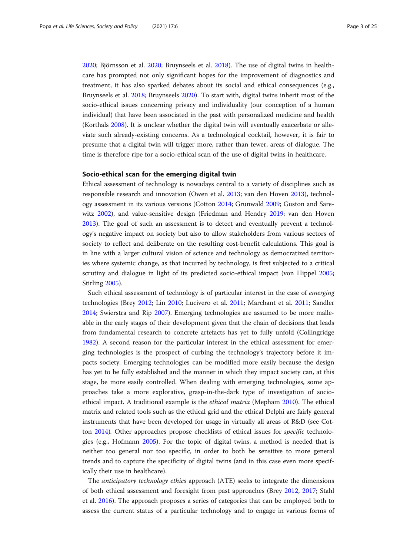<span id="page-2-0"></span>[2020](#page-23-0); Björnsson et al. [2020](#page-23-0); Bruynseels et al. [2018](#page-23-0)). The use of digital twins in healthcare has prompted not only significant hopes for the improvement of diagnostics and treatment, it has also sparked debates about its social and ethical consequences (e.g., Bruynseels et al. [2018](#page-23-0); Bruynseels [2020\)](#page-23-0). To start with, digital twins inherit most of the socio-ethical issues concerning privacy and individuality (our conception of a human individual) that have been associated in the past with personalized medicine and health (Korthals [2008](#page-23-0)). It is unclear whether the digital twin will eventually exacerbate or alleviate such already-existing concerns. As a technological cocktail, however, it is fair to presume that a digital twin will trigger more, rather than fewer, areas of dialogue. The time is therefore ripe for a socio-ethical scan of the use of digital twins in healthcare.

#### Socio-ethical scan for the emerging digital twin

Ethical assessment of technology is nowadays central to a variety of disciplines such as responsible research and innovation (Owen et al. [2013;](#page-24-0) van den Hoven [2013](#page-24-0)), technology assessment in its various versions (Cotton [2014;](#page-23-0) Grunwald [2009;](#page-23-0) Guston and Sarewitz [2002\)](#page-23-0), and value-sensitive design (Friedman and Hendry [2019](#page-23-0); van den Hoven [2013](#page-24-0)). The goal of such an assessment is to detect and eventually prevent a technology's negative impact on society but also to allow stakeholders from various sectors of society to reflect and deliberate on the resulting cost-benefit calculations. This goal is in line with a larger cultural vision of science and technology as democratized territories where systemic change, as that incurred by technology, is first subjected to a critical scrutiny and dialogue in light of its predicted socio-ethical impact (von Hippel [2005](#page-24-0); Stirling [2005\)](#page-24-0).

Such ethical assessment of technology is of particular interest in the case of emerging technologies (Brey [2012](#page-23-0); Lin [2010;](#page-24-0) Lucivero et al. [2011](#page-24-0); Marchant et al. [2011](#page-24-0); Sandler [2014](#page-24-0); Swierstra and Rip [2007](#page-24-0)). Emerging technologies are assumed to be more malleable in the early stages of their development given that the chain of decisions that leads from fundamental research to concrete artefacts has yet to fully unfold (Collingridge [1982](#page-23-0)). A second reason for the particular interest in the ethical assessment for emerging technologies is the prospect of curbing the technology's trajectory before it impacts society. Emerging technologies can be modified more easily because the design has yet to be fully established and the manner in which they impact society can, at this stage, be more easily controlled. When dealing with emerging technologies, some approaches take a more explorative, grasp-in-the-dark type of investigation of socioethical impact. A traditional example is the ethical matrix (Mepham [2010\)](#page-24-0). The ethical matrix and related tools such as the ethical grid and the ethical Delphi are fairly general instruments that have been developed for usage in virtually all areas of R&D (see Cotton [2014\)](#page-23-0). Other approaches propose checklists of ethical issues for specific technologies (e.g., Hofmann [2005](#page-23-0)). For the topic of digital twins, a method is needed that is neither too general nor too specific, in order to both be sensitive to more general trends and to capture the specificity of digital twins (and in this case even more specifically their use in healthcare).

The anticipatory technology ethics approach (ATE) seeks to integrate the dimensions of both ethical assessment and foresight from past approaches (Brey [2012](#page-23-0), [2017](#page-23-0); Stahl et al. [2016](#page-24-0)). The approach proposes a series of categories that can be employed both to assess the current status of a particular technology and to engage in various forms of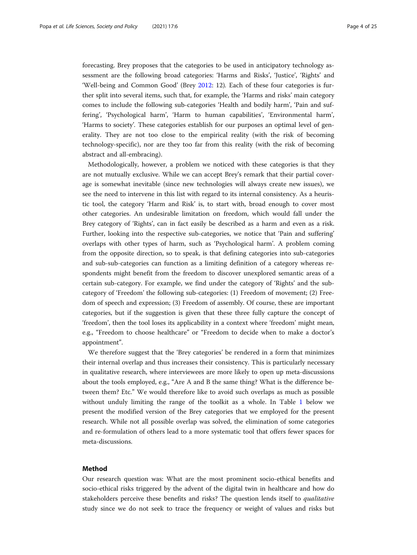forecasting. Brey proposes that the categories to be used in anticipatory technology assessment are the following broad categories: 'Harms and Risks', 'Justice', 'Rights' and 'Well-being and Common Good' (Brey [2012:](#page-23-0) 12). Each of these four categories is further split into several items, such that, for example, the 'Harms and risks' main category comes to include the following sub-categories 'Health and bodily harm', 'Pain and suffering', 'Psychological harm', 'Harm to human capabilities', 'Environmental harm', 'Harms to society'. These categories establish for our purposes an optimal level of generality. They are not too close to the empirical reality (with the risk of becoming technology-specific), nor are they too far from this reality (with the risk of becoming abstract and all-embracing).

Methodologically, however, a problem we noticed with these categories is that they are not mutually exclusive. While we can accept Brey's remark that their partial coverage is somewhat inevitable (since new technologies will always create new issues), we see the need to intervene in this list with regard to its internal consistency. As a heuristic tool, the category 'Harm and Risk' is, to start with, broad enough to cover most other categories. An undesirable limitation on freedom, which would fall under the Brey category of 'Rights', can in fact easily be described as a harm and even as a risk. Further, looking into the respective sub-categories, we notice that 'Pain and suffering' overlaps with other types of harm, such as 'Psychological harm'. A problem coming from the opposite direction, so to speak, is that defining categories into sub-categories and sub-sub-categories can function as a limiting definition of a category whereas respondents might benefit from the freedom to discover unexplored semantic areas of a certain sub-category. For example, we find under the category of 'Rights' and the subcategory of 'Freedom' the following sub-categories: (1) Freedom of movement; (2) Freedom of speech and expression; (3) Freedom of assembly. Of course, these are important categories, but if the suggestion is given that these three fully capture the concept of 'freedom', then the tool loses its applicability in a context where 'freedom' might mean, e.g., "Freedom to choose healthcare" or "Freedom to decide when to make a doctor's appointment".

We therefore suggest that the 'Brey categories' be rendered in a form that minimizes their internal overlap and thus increases their consistency. This is particularly necessary in qualitative research, where interviewees are more likely to open up meta-discussions about the tools employed, e.g., "Are A and B the same thing? What is the difference between them? Etc." We would therefore like to avoid such overlaps as much as possible without unduly limiting the range of the toolkit as a whole. In Table [1](#page-4-0) below we present the modified version of the Brey categories that we employed for the present research. While not all possible overlap was solved, the elimination of some categories and re-formulation of others lead to a more systematic tool that offers fewer spaces for meta-discussions.

#### Method

Our research question was: What are the most prominent socio-ethical benefits and socio-ethical risks triggered by the advent of the digital twin in healthcare and how do stakeholders perceive these benefits and risks? The question lends itself to qualitative study since we do not seek to trace the frequency or weight of values and risks but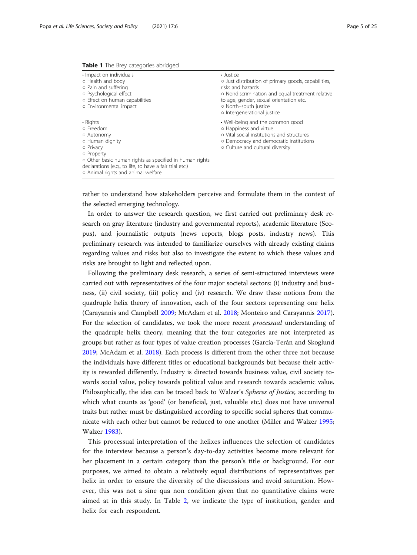<span id="page-4-0"></span>

| Table 1 The Brey categories abridged |  |  |  |
|--------------------------------------|--|--|--|
|--------------------------------------|--|--|--|

| • Impact on individuals<br>o Health and body<br>o Pain and suffering<br>o Psychological effect<br>o Effect on human capabilities<br>o Environmental impact                                                                                    | • Justice<br>o Just distribution of primary goods, capabilities,<br>risks and hazards<br>o Nondiscrimination and equal treatment relative<br>to age, gender, sexual orientation etc.<br>o North-south justice<br>o Intergenerational justice |
|-----------------------------------------------------------------------------------------------------------------------------------------------------------------------------------------------------------------------------------------------|----------------------------------------------------------------------------------------------------------------------------------------------------------------------------------------------------------------------------------------------|
| • Rights<br>o Freedom<br>o Autonomy<br>o Human dignity<br>o Privacy<br>o Property<br>o Other basic human rights as specified in human rights<br>declarations (e.g., to life, to have a fair trial etc.)<br>o Animal rights and animal welfare | • Well-being and the common good<br>o Happiness and virtue<br>o Vital social institutions and structures<br>o Democracy and democratic institutions<br>o Culture and cultural diversity                                                      |

rather to understand how stakeholders perceive and formulate them in the context of the selected emerging technology.

In order to answer the research question, we first carried out preliminary desk research on gray literature (industry and governmental reports), academic literature (Scopus), and journalistic outputs (news reports, blogs posts, industry news). This preliminary research was intended to familiarize ourselves with already existing claims regarding values and risks but also to investigate the extent to which these values and risks are brought to light and reflected upon.

Following the preliminary desk research, a series of semi-structured interviews were carried out with representatives of the four major societal sectors: (i) industry and business, (ii) civil society, (iii) policy and (iv) research. We draw these notions from the quadruple helix theory of innovation, each of the four sectors representing one helix (Carayannis and Campbell [2009](#page-23-0); McAdam et al. [2018;](#page-24-0) Monteiro and Carayannis [2017](#page-24-0)). For the selection of candidates, we took the more recent processual understanding of the quadruple helix theory, meaning that the four categories are not interpreted as groups but rather as four types of value creation processes (García-Terán and Skoglund [2019](#page-23-0); McAdam et al. [2018](#page-24-0)). Each process is different from the other three not because the individuals have different titles or educational backgrounds but because their activity is rewarded differently. Industry is directed towards business value, civil society towards social value, policy towards political value and research towards academic value. Philosophically, the idea can be traced back to Walzer's Spheres of Justice, according to which what counts as 'good' (or beneficial, just, valuable etc.) does not have universal traits but rather must be distinguished according to specific social spheres that communicate with each other but cannot be reduced to one another (Miller and Walzer [1995](#page-24-0); Walzer [1983](#page-24-0)).

This processual interpretation of the helixes influences the selection of candidates for the interview because a person's day-to-day activities become more relevant for her placement in a certain category than the person's title or background. For our purposes, we aimed to obtain a relatively equal distributions of representatives per helix in order to ensure the diversity of the discussions and avoid saturation. However, this was not a sine qua non condition given that no quantitative claims were aimed at in this study. In Table [2](#page-5-0), we indicate the type of institution, gender and helix for each respondent.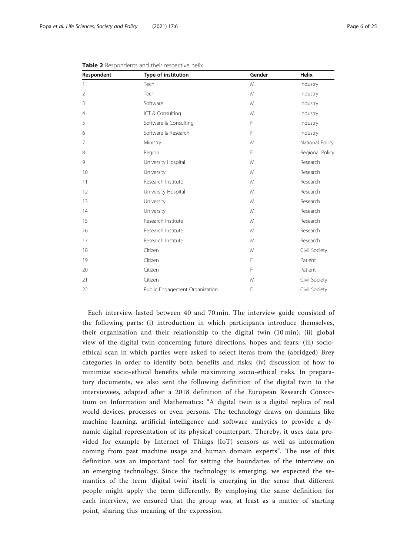| Respondent     | Type of institution            | Gender | Helix           |
|----------------|--------------------------------|--------|-----------------|
| $\mathbf{1}$   | Tech                           | M      | Industry        |
| $\overline{2}$ | Tech                           | M      | Industry        |
| 3              | Software                       | M      | Industry        |
| 4              | ICT & Consulting               | M      | Industry        |
| 5              | Software & Consulting          | F      | Industry        |
| 6              | Software & Research            | F      | Industry        |
| 7              | Ministry                       | M      | National Policy |
| 8              | Region                         | F      | Regional Policy |
| 9              | University Hospital            | M      | Research        |
| 10             | University                     | M      | Research        |
| 11             | Research Institute             | M      | Research        |
| 12             | University Hospital            | M      | Research        |
| 13             | University                     | M      | Research        |
| 14             | University                     | M      | Research        |
| 15             | Research Institute             | M      | Research        |
| 16             | Research Institute             | M      | Research        |
| 17             | Research Institute             | M      | Research        |
| 18             | Citizen                        | M      | Civil Society   |
| 19             | Citizen                        | F      | Patient         |
| 20             | Citizen                        | F      | Patient         |
| 21             | Citizen                        | M      | Civil Society   |
| 22             | Public Engagement Organization | F      | Civil Society   |

<span id="page-5-0"></span>Table 2 Respondents and their respective helix

Each interview lasted between 40 and 70 min. The interview guide consisted of the following parts: (i) introduction in which participants introduce themselves, their organization and their relationship to the digital twin (10 min); (ii) global view of the digital twin concerning future directions, hopes and fears; (iii) socioethical scan in which parties were asked to select items from the (abridged) Brey categories in order to identify both benefits and risks; (iv) discussion of how to minimize socio-ethical benefits while maximizing socio-ethical risks. In preparatory documents, we also sent the following definition of the digital twin to the interviewees, adapted after a 2018 definition of the European Research Consortium on Information and Mathematics: "A digital twin is a digital replica of real world devices, processes or even persons. The technology draws on domains like machine learning, artificial intelligence and software analytics to provide a dynamic digital representation of its physical counterpart. Thereby, it uses data provided for example by Internet of Things (IoT) sensors as well as information coming from past machine usage and human domain experts". The use of this definition was an important tool for setting the boundaries of the interview on an emerging technology. Since the technology is emerging, we expected the semantics of the term 'digital twin' itself is emerging in the sense that different people might apply the term differently. By employing the same definition for each interview, we ensured that the group was, at least as a matter of starting point, sharing this meaning of the expression.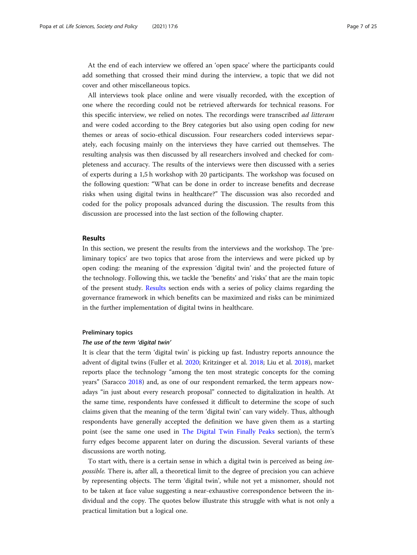At the end of each interview we offered an 'open space' where the participants could add something that crossed their mind during the interview, a topic that we did not cover and other miscellaneous topics.

All interviews took place online and were visually recorded, with the exception of one where the recording could not be retrieved afterwards for technical reasons. For this specific interview, we relied on notes. The recordings were transcribed *ad litteram* and were coded according to the Brey categories but also using open coding for new themes or areas of socio-ethical discussion. Four researchers coded interviews separately, each focusing mainly on the interviews they have carried out themselves. The resulting analysis was then discussed by all researchers involved and checked for completeness and accuracy. The results of the interviews were then discussed with a series of experts during a 1,5 h workshop with 20 participants. The workshop was focused on the following question: "What can be done in order to increase benefits and decrease risks when using digital twins in healthcare?" The discussion was also recorded and coded for the policy proposals advanced during the discussion. The results from this discussion are processed into the last section of the following chapter.

#### Results

In this section, we present the results from the interviews and the workshop. The 'preliminary topics' are two topics that arose from the interviews and were picked up by open coding: the meaning of the expression 'digital twin' and the projected future of the technology. Following this, we tackle the 'benefits' and 'risks' that are the main topic of the present study. Results section ends with a series of policy claims regarding the governance framework in which benefits can be maximized and risks can be minimized in the further implementation of digital twins in healthcare.

#### Preliminary topics

#### The use of the term 'digital twin'

It is clear that the term 'digital twin' is picking up fast. Industry reports announce the advent of digital twins (Fuller et al. [2020](#page-23-0); Kritzinger et al. [2018](#page-24-0); Liu et al. [2018](#page-24-0)), market reports place the technology "among the ten most strategic concepts for the coming years" (Saracco [2018\)](#page-24-0) and, as one of our respondent remarked, the term appears nowadays "in just about every research proposal" connected to digitalization in health. At the same time, respondents have confessed it difficult to determine the scope of such claims given that the meaning of the term 'digital twin' can vary widely. Thus, although respondents have generally accepted the definition we have given them as a starting point (see the same one used in [The Digital Twin Finally Peaks](#page-0-0) section), the term's furry edges become apparent later on during the discussion. Several variants of these discussions are worth noting.

To start with, there is a certain sense in which a digital twin is perceived as being impossible. There is, after all, a theoretical limit to the degree of precision you can achieve by representing objects. The term 'digital twin', while not yet a misnomer, should not to be taken at face value suggesting a near-exhaustive correspondence between the individual and the copy. The quotes below illustrate this struggle with what is not only a practical limitation but a logical one.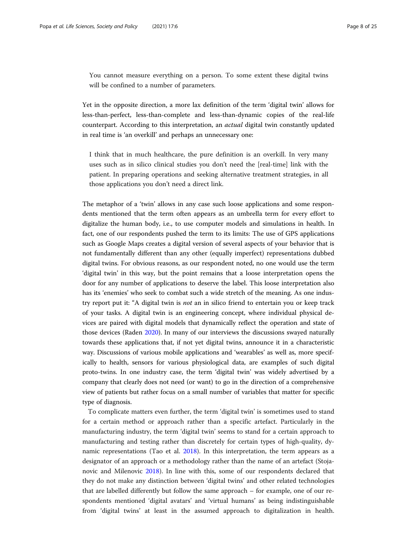You cannot measure everything on a person. To some extent these digital twins will be confined to a number of parameters.

Yet in the opposite direction, a more lax definition of the term 'digital twin' allows for less-than-perfect, less-than-complete and less-than-dynamic copies of the real-life counterpart. According to this interpretation, an actual digital twin constantly updated in real time is 'an overkill' and perhaps an unnecessary one:

I think that in much healthcare, the pure definition is an overkill. In very many uses such as in silico clinical studies you don't need the [real-time] link with the patient. In preparing operations and seeking alternative treatment strategies, in all those applications you don't need a direct link.

The metaphor of a 'twin' allows in any case such loose applications and some respondents mentioned that the term often appears as an umbrella term for every effort to digitalize the human body, i.e., to use computer models and simulations in health. In fact, one of our respondents pushed the term to its limits: The use of GPS applications such as Google Maps creates a digital version of several aspects of your behavior that is not fundamentally different than any other (equally imperfect) representations dubbed digital twins. For obvious reasons, as our respondent noted, no one would use the term 'digital twin' in this way, but the point remains that a loose interpretation opens the door for any number of applications to deserve the label. This loose interpretation also has its 'enemies' who seek to combat such a wide stretch of the meaning. As one industry report put it: "A digital twin is not an in silico friend to entertain you or keep track of your tasks. A digital twin is an engineering concept, where individual physical devices are paired with digital models that dynamically reflect the operation and state of those devices (Raden [2020](#page-24-0)). In many of our interviews the discussions swayed naturally towards these applications that, if not yet digital twins, announce it in a characteristic way. Discussions of various mobile applications and 'wearables' as well as, more specifically to health, sensors for various physiological data, are examples of such digital proto-twins. In one industry case, the term 'digital twin' was widely advertised by a company that clearly does not need (or want) to go in the direction of a comprehensive view of patients but rather focus on a small number of variables that matter for specific type of diagnosis.

To complicate matters even further, the term 'digital twin' is sometimes used to stand for a certain method or approach rather than a specific artefact. Particularly in the manufacturing industry, the term 'digital twin' seems to stand for a certain approach to manufacturing and testing rather than discretely for certain types of high-quality, dynamic representations (Tao et al. [2018](#page-24-0)). In this interpretation, the term appears as a designator of an approach or a methodology rather than the name of an artefact (Stojanovic and Milenovic [2018\)](#page-24-0). In line with this, some of our respondents declared that they do not make any distinction between 'digital twins' and other related technologies that are labelled differently but follow the same approach – for example, one of our respondents mentioned 'digital avatars' and 'virtual humans' as being indistinguishable from 'digital twins' at least in the assumed approach to digitalization in health.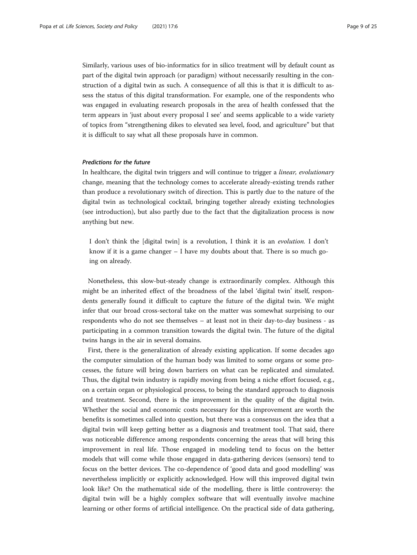Similarly, various uses of bio-informatics for in silico treatment will by default count as part of the digital twin approach (or paradigm) without necessarily resulting in the construction of a digital twin as such. A consequence of all this is that it is difficult to assess the status of this digital transformation. For example, one of the respondents who was engaged in evaluating research proposals in the area of health confessed that the term appears in 'just about every proposal I see' and seems applicable to a wide variety of topics from "strengthening dikes to elevated sea level, food, and agriculture" but that it is difficult to say what all these proposals have in common.

#### Predictions for the future

In healthcare, the digital twin triggers and will continue to trigger a linear, evolutionary change, meaning that the technology comes to accelerate already-existing trends rather than produce a revolutionary switch of direction. This is partly due to the nature of the digital twin as technological cocktail, bringing together already existing technologies (see introduction), but also partly due to the fact that the digitalization process is now anything but new.

I don't think the [digital twin] is a revolution, I think it is an evolution. I don't know if it is a game changer – I have my doubts about that. There is so much going on already.

Nonetheless, this slow-but-steady change is extraordinarily complex. Although this might be an inherited effect of the broadness of the label 'digital twin' itself, respondents generally found it difficult to capture the future of the digital twin. We might infer that our broad cross-sectoral take on the matter was somewhat surprising to our respondents who do not see themselves – at least not in their day-to-day business - as participating in a common transition towards the digital twin. The future of the digital twins hangs in the air in several domains.

First, there is the generalization of already existing application. If some decades ago the computer simulation of the human body was limited to some organs or some processes, the future will bring down barriers on what can be replicated and simulated. Thus, the digital twin industry is rapidly moving from being a niche effort focused, e.g., on a certain organ or physiological process, to being the standard approach to diagnosis and treatment. Second, there is the improvement in the quality of the digital twin. Whether the social and economic costs necessary for this improvement are worth the benefits is sometimes called into question, but there was a consensus on the idea that a digital twin will keep getting better as a diagnosis and treatment tool. That said, there was noticeable difference among respondents concerning the areas that will bring this improvement in real life. Those engaged in modeling tend to focus on the better models that will come while those engaged in data-gathering devices (sensors) tend to focus on the better devices. The co-dependence of 'good data and good modelling' was nevertheless implicitly or explicitly acknowledged. How will this improved digital twin look like? On the mathematical side of the modelling, there is little controversy: the digital twin will be a highly complex software that will eventually involve machine learning or other forms of artificial intelligence. On the practical side of data gathering,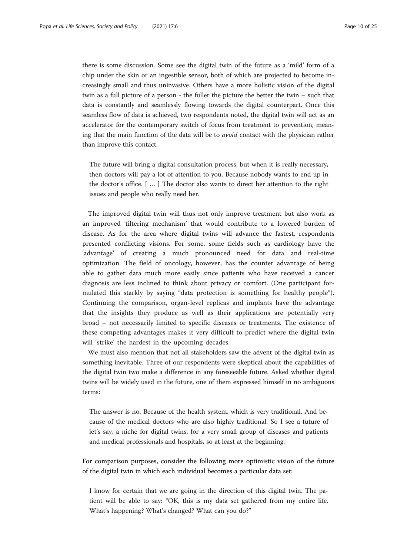there is some discussion. Some see the digital twin of the future as a 'mild' form of a chip under the skin or an ingestible sensor, both of which are projected to become increasingly small and thus uninvasive. Others have a more holistic vision of the digital twin as a full picture of a person - the fuller the picture the better the twin – such that data is constantly and seamlessly flowing towards the digital counterpart. Once this seamless flow of data is achieved, two respondents noted, the digital twin will act as an accelerator for the contemporary switch of focus from treatment to prevention, meaning that the main function of the data will be to avoid contact with the physician rather than improve this contact.

The future will bring a digital consultation process, but when it is really necessary, then doctors will pay a lot of attention to you. Because nobody wants to end up in the doctor's office. [ … ] The doctor also wants to direct her attention to the right issues and people who really need her.

The improved digital twin will thus not only improve treatment but also work as an improved 'filtering mechanism' that would contribute to a lowered burden of disease. As for the area where digital twins will advance the fastest, respondents presented conflicting visions. For some, some fields such as cardiology have the 'advantage' of creating a much pronounced need for data and real-time optimization. The field of oncology, however, has the counter advantage of being able to gather data much more easily since patients who have received a cancer diagnosis are less inclined to think about privacy or comfort. (One participant formulated this starkly by saying "data protection is something for healthy people"). Continuing the comparison, organ-level replicas and implants have the advantage that the insights they produce as well as their applications are potentially very broad – not necessarily limited to specific diseases or treatments. The existence of these competing advantages makes it very difficult to predict where the digital twin will 'strike' the hardest in the upcoming decades.

We must also mention that not all stakeholders saw the advent of the digital twin as something inevitable. Three of our respondents were skeptical about the capabilities of the digital twin two make a difference in any foreseeable future. Asked whether digital twins will be widely used in the future, one of them expressed himself in no ambiguous terms:

The answer is no. Because of the health system, which is very traditional. And because of the medical doctors who are also highly traditional. So I see a future of let's say, a niche for digital twins, for a very small group of diseases and patients and medical professionals and hospitals, so at least at the beginning.

For comparison purposes, consider the following more optimistic vision of the future of the digital twin in which each individual becomes a particular data set:

I know for certain that we are going in the direction of this digital twin. The patient will be able to say: "OK, this is my data set gathered from my entire life. What's happening? What's changed? What can you do?"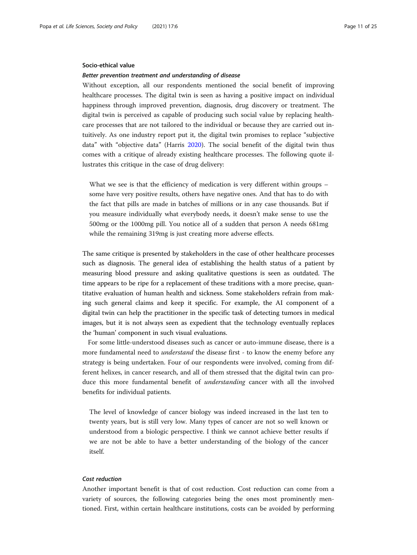#### Socio-ethical value

#### Better prevention treatment and understanding of disease

Without exception, all our respondents mentioned the social benefit of improving healthcare processes. The digital twin is seen as having a positive impact on individual happiness through improved prevention, diagnosis, drug discovery or treatment. The digital twin is perceived as capable of producing such social value by replacing healthcare processes that are not tailored to the individual or because they are carried out intuitively. As one industry report put it, the digital twin promises to replace "subjective data" with "objective data" (Harris [2020\)](#page-23-0). The social benefit of the digital twin thus comes with a critique of already existing healthcare processes. The following quote illustrates this critique in the case of drug delivery:

What we see is that the efficiency of medication is very different within groups – some have very positive results, others have negative ones. And that has to do with the fact that pills are made in batches of millions or in any case thousands. But if you measure individually what everybody needs, it doesn't make sense to use the 500mg or the 1000mg pill. You notice all of a sudden that person A needs 681mg while the remaining 319mg is just creating more adverse effects.

The same critique is presented by stakeholders in the case of other healthcare processes such as diagnosis. The general idea of establishing the health status of a patient by measuring blood pressure and asking qualitative questions is seen as outdated. The time appears to be ripe for a replacement of these traditions with a more precise, quantitative evaluation of human health and sickness. Some stakeholders refrain from making such general claims and keep it specific. For example, the AI component of a digital twin can help the practitioner in the specific task of detecting tumors in medical images, but it is not always seen as expedient that the technology eventually replaces the 'human' component in such visual evaluations.

For some little-understood diseases such as cancer or auto-immune disease, there is a more fundamental need to *understand* the disease first - to know the enemy before any strategy is being undertaken. Four of our respondents were involved, coming from different helixes, in cancer research, and all of them stressed that the digital twin can produce this more fundamental benefit of *understanding* cancer with all the involved benefits for individual patients.

The level of knowledge of cancer biology was indeed increased in the last ten to twenty years, but is still very low. Many types of cancer are not so well known or understood from a biologic perspective. I think we cannot achieve better results if we are not be able to have a better understanding of the biology of the cancer itself.

### Cost reduction

Another important benefit is that of cost reduction. Cost reduction can come from a variety of sources, the following categories being the ones most prominently mentioned. First, within certain healthcare institutions, costs can be avoided by performing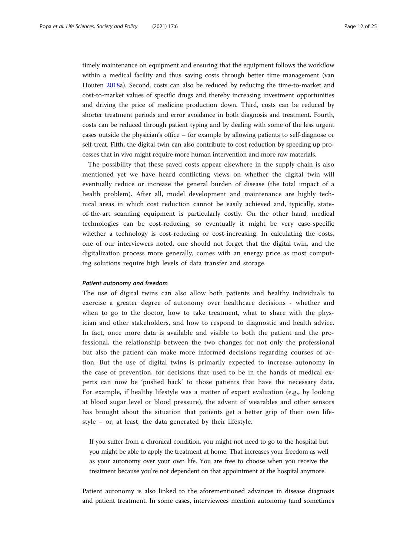timely maintenance on equipment and ensuring that the equipment follows the workflow within a medical facility and thus saving costs through better time management (van Houten [2018](#page-24-0)a). Second, costs can also be reduced by reducing the time-to-market and cost-to-market values of specific drugs and thereby increasing investment opportunities and driving the price of medicine production down. Third, costs can be reduced by shorter treatment periods and error avoidance in both diagnosis and treatment. Fourth, costs can be reduced through patient typing and by dealing with some of the less urgent cases outside the physician's office – for example by allowing patients to self-diagnose or self-treat. Fifth, the digital twin can also contribute to cost reduction by speeding up processes that in vivo might require more human intervention and more raw materials.

The possibility that these saved costs appear elsewhere in the supply chain is also mentioned yet we have heard conflicting views on whether the digital twin will eventually reduce or increase the general burden of disease (the total impact of a health problem). After all, model development and maintenance are highly technical areas in which cost reduction cannot be easily achieved and, typically, stateof-the-art scanning equipment is particularly costly. On the other hand, medical technologies can be cost-reducing, so eventually it might be very case-specific whether a technology is cost-reducing or cost-increasing. In calculating the costs, one of our interviewers noted, one should not forget that the digital twin, and the digitalization process more generally, comes with an energy price as most computing solutions require high levels of data transfer and storage.

#### Patient autonomy and freedom

The use of digital twins can also allow both patients and healthy individuals to exercise a greater degree of autonomy over healthcare decisions - whether and when to go to the doctor, how to take treatment, what to share with the physician and other stakeholders, and how to respond to diagnostic and health advice. In fact, once more data is available and visible to both the patient and the professional, the relationship between the two changes for not only the professional but also the patient can make more informed decisions regarding courses of action. But the use of digital twins is primarily expected to increase autonomy in the case of prevention, for decisions that used to be in the hands of medical experts can now be 'pushed back' to those patients that have the necessary data. For example, if healthy lifestyle was a matter of expert evaluation (e.g., by looking at blood sugar level or blood pressure), the advent of wearables and other sensors has brought about the situation that patients get a better grip of their own lifestyle – or, at least, the data generated by their lifestyle.

If you suffer from a chronical condition, you might not need to go to the hospital but you might be able to apply the treatment at home. That increases your freedom as well as your autonomy over your own life. You are free to choose when you receive the treatment because you're not dependent on that appointment at the hospital anymore.

Patient autonomy is also linked to the aforementioned advances in disease diagnosis and patient treatment. In some cases, interviewees mention autonomy (and sometimes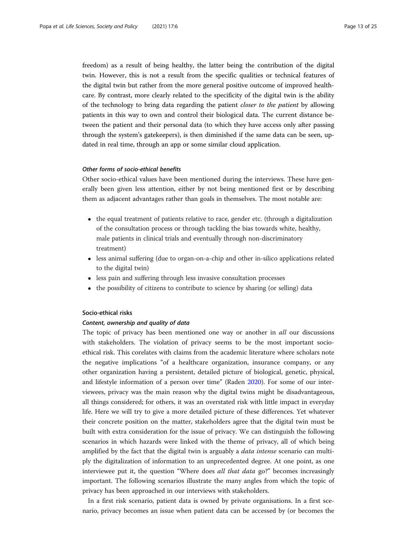freedom) as a result of being healthy, the latter being the contribution of the digital twin. However, this is not a result from the specific qualities or technical features of the digital twin but rather from the more general positive outcome of improved healthcare. By contrast, more clearly related to the specificity of the digital twin is the ability of the technology to bring data regarding the patient closer to the patient by allowing patients in this way to own and control their biological data. The current distance between the patient and their personal data (to which they have access only after passing through the system's gatekeepers), is then diminished if the same data can be seen, updated in real time, through an app or some similar cloud application.

## Other forms of socio-ethical benefits

Other socio-ethical values have been mentioned during the interviews. These have generally been given less attention, either by not being mentioned first or by describing them as adjacent advantages rather than goals in themselves. The most notable are:

- the equal treatment of patients relative to race, gender etc. (through a digitalization of the consultation process or through tackling the bias towards white, healthy, male patients in clinical trials and eventually through non-discriminatory treatment)
- less animal suffering (due to organ-on-a-chip and other in-silico applications related to the digital twin)
- less pain and suffering through less invasive consultation processes
- the possibility of citizens to contribute to science by sharing (or selling) data

### Socio-ethical risks

#### Content, ownership and quality of data

The topic of privacy has been mentioned one way or another in *all* our discussions with stakeholders. The violation of privacy seems to be the most important socioethical risk. This corelates with claims from the academic literature where scholars note the negative implications "of a healthcare organization, insurance company, or any other organization having a persistent, detailed picture of biological, genetic, physical, and lifestyle information of a person over time" (Raden [2020](#page-24-0)). For some of our interviewees, privacy was the main reason why the digital twins might be disadvantageous, all things considered; for others, it was an overstated risk with little impact in everyday life. Here we will try to give a more detailed picture of these differences. Yet whatever their concrete position on the matter, stakeholders agree that the digital twin must be built with extra consideration for the issue of privacy. We can distinguish the following scenarios in which hazards were linked with the theme of privacy, all of which being amplified by the fact that the digital twin is arguably a *data intense* scenario can multiply the digitalization of information to an unprecedented degree. At one point, as one interviewee put it, the question "Where does *all that data* go?" becomes increasingly important. The following scenarios illustrate the many angles from which the topic of privacy has been approached in our interviews with stakeholders.

In a first risk scenario, patient data is owned by private organisations. In a first scenario, privacy becomes an issue when patient data can be accessed by (or becomes the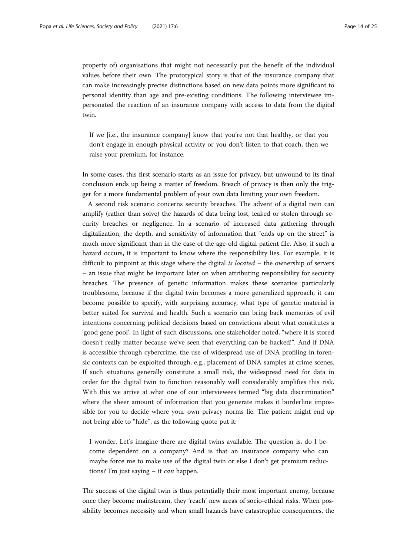property of) organisations that might not necessarily put the benefit of the individual values before their own. The prototypical story is that of the insurance company that can make increasingly precise distinctions based on new data points more significant to personal identity than age and pre-existing conditions. The following interviewee impersonated the reaction of an insurance company with access to data from the digital twin.

If we [i.e., the insurance company] know that you're not that healthy, or that you don't engage in enough physical activity or you don't listen to that coach, then we raise your premium, for instance.

In some cases, this first scenario starts as an issue for privacy, but unwound to its final conclusion ends up being a matter of freedom. Breach of privacy is then only the trigger for a more fundamental problem of your own data limiting your own freedom.

A second risk scenario concerns security breaches. The advent of a digital twin can amplify (rather than solve) the hazards of data being lost, leaked or stolen through security breaches or negligence. In a scenario of increased data gathering through digitalization, the depth, and sensitivity of information that "ends up on the street" is much more significant than in the case of the age-old digital patient file. Also, if such a hazard occurs, it is important to know where the responsibility lies. For example, it is difficult to pinpoint at this stage where the digital is located – the ownership of servers – an issue that might be important later on when attributing responsibility for security breaches. The presence of genetic information makes these scenarios particularly troublesome, because if the digital twin becomes a more generalized approach, it can become possible to specify, with surprising accuracy, what type of genetic material is better suited for survival and health. Such a scenario can bring back memories of evil intentions concerning political decisions based on convictions about what constitutes a 'good gene pool'. In light of such discussions, one stakeholder noted, "where it is stored doesn't really matter because we've seen that everything can be hacked!". And if DNA is accessible through cybercrime, the use of widespread use of DNA profiling in forensic contexts can be exploited through, e.g., placement of DNA samples at crime scenes. If such situations generally constitute a small risk, the widespread need for data in order for the digital twin to function reasonably well considerably amplifies this risk. With this we arrive at what one of our interviewees termed "big data discrimination" where the sheer amount of information that you generate makes it borderline impossible for you to decide where your own privacy norms lie. The patient might end up not being able to "hide", as the following quote put it:

I wonder. Let's imagine there are digital twins available. The question is, do I become dependent on a company? And is that an insurance company who can maybe force me to make use of the digital twin or else I don't get premium reductions? I'm just saying – it *can* happen.

The success of the digital twin is thus potentially their most important enemy, because once they become mainstream, they 'reach' new areas of socio-ethical risks. When possibility becomes necessity and when small hazards have catastrophic consequences, the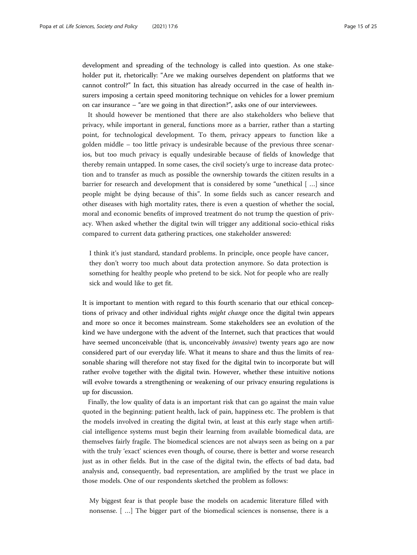development and spreading of the technology is called into question. As one stakeholder put it, rhetorically: "Are we making ourselves dependent on platforms that we cannot control?" In fact, this situation has already occurred in the case of health insurers imposing a certain speed monitoring technique on vehicles for a lower premium on car insurance – "are we going in that direction?", asks one of our interviewees.

It should however be mentioned that there are also stakeholders who believe that privacy, while important in general, functions more as a barrier, rather than a starting point, for technological development. To them, privacy appears to function like a golden middle – too little privacy is undesirable because of the previous three scenarios, but too much privacy is equally undesirable because of fields of knowledge that thereby remain untapped. In some cases, the civil society's urge to increase data protection and to transfer as much as possible the ownership towards the citizen results in a barrier for research and development that is considered by some "unethical [ …] since people might be dying because of this". In some fields such as cancer research and other diseases with high mortality rates, there is even a question of whether the social, moral and economic benefits of improved treatment do not trump the question of privacy. When asked whether the digital twin will trigger any additional socio-ethical risks compared to current data gathering practices, one stakeholder answered:

I think it's just standard, standard problems. In principle, once people have cancer, they don't worry too much about data protection anymore. So data protection is something for healthy people who pretend to be sick. Not for people who are really sick and would like to get fit.

It is important to mention with regard to this fourth scenario that our ethical conceptions of privacy and other individual rights *might change* once the digital twin appears and more so once it becomes mainstream. Some stakeholders see an evolution of the kind we have undergone with the advent of the Internet, such that practices that would have seemed unconceivable (that is, unconceivably *invasive*) twenty years ago are now considered part of our everyday life. What it means to share and thus the limits of reasonable sharing will therefore not stay fixed for the digital twin to incorporate but will rather evolve together with the digital twin. However, whether these intuitive notions will evolve towards a strengthening or weakening of our privacy ensuring regulations is up for discussion.

Finally, the low quality of data is an important risk that can go against the main value quoted in the beginning: patient health, lack of pain, happiness etc. The problem is that the models involved in creating the digital twin, at least at this early stage when artificial intelligence systems must begin their learning from available biomedical data, are themselves fairly fragile. The biomedical sciences are not always seen as being on a par with the truly 'exact' sciences even though, of course, there is better and worse research just as in other fields. But in the case of the digital twin, the effects of bad data, bad analysis and, consequently, bad representation, are amplified by the trust we place in those models. One of our respondents sketched the problem as follows:

My biggest fear is that people base the models on academic literature filled with nonsense. [ …] The bigger part of the biomedical sciences is nonsense, there is a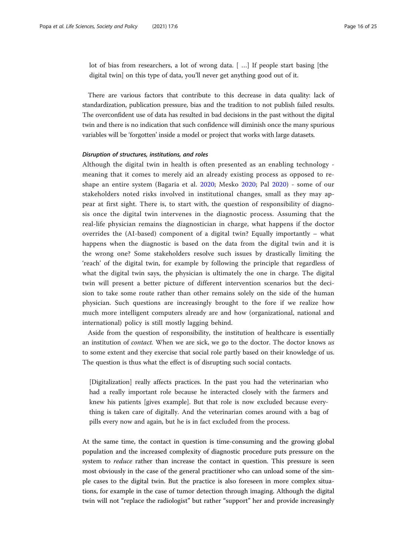lot of bias from researchers, a lot of wrong data. [ …] If people start basing [the digital twin] on this type of data, you'll never get anything good out of it.

There are various factors that contribute to this decrease in data quality: lack of standardization, publication pressure, bias and the tradition to not publish failed results. The overconfident use of data has resulted in bad decisions in the past without the digital twin and there is no indication that such confidence will diminish once the many spurious variables will be 'forgotten' inside a model or project that works with large datasets.

#### Disruption of structures, institutions, and roles

Although the digital twin in health is often presented as an enabling technology meaning that it comes to merely aid an already existing process as opposed to reshape an entire system (Bagaria et al. [2020](#page-23-0); Mesko [2020](#page-24-0); Pal [2020](#page-24-0)) - some of our stakeholders noted risks involved in institutional changes, small as they may appear at first sight. There is, to start with, the question of responsibility of diagnosis once the digital twin intervenes in the diagnostic process. Assuming that the real-life physician remains the diagnostician in charge, what happens if the doctor overrides the (AI-based) component of a digital twin? Equally importantly – what happens when the diagnostic is based on the data from the digital twin and it is the wrong one? Some stakeholders resolve such issues by drastically limiting the 'reach' of the digital twin, for example by following the principle that regardless of what the digital twin says, the physician is ultimately the one in charge. The digital twin will present a better picture of different intervention scenarios but the decision to take some route rather than other remains solely on the side of the human physician. Such questions are increasingly brought to the fore if we realize how much more intelligent computers already are and how (organizational, national and international) policy is still mostly lagging behind.

Aside from the question of responsibility, the institution of healthcare is essentially an institution of *contact*. When we are sick, we go to the doctor. The doctor knows us to some extent and they exercise that social role partly based on their knowledge of us. The question is thus what the effect is of disrupting such social contacts.

[Digitalization] really affects practices. In the past you had the veterinarian who had a really important role because he interacted closely with the farmers and knew his patients [gives example]. But that role is now excluded because everything is taken care of digitally. And the veterinarian comes around with a bag of pills every now and again, but he is in fact excluded from the process.

At the same time, the contact in question is time-consuming and the growing global population and the increased complexity of diagnostic procedure puts pressure on the system to *reduce* rather than increase the contact in question. This pressure is seen most obviously in the case of the general practitioner who can unload some of the simple cases to the digital twin. But the practice is also foreseen in more complex situations, for example in the case of tumor detection through imaging. Although the digital twin will not "replace the radiologist" but rather "support" her and provide increasingly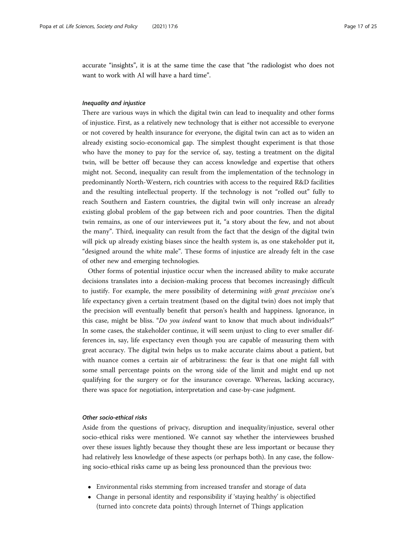accurate "insights", it is at the same time the case that "the radiologist who does not want to work with AI will have a hard time".

#### Inequality and injustice

There are various ways in which the digital twin can lead to inequality and other forms of injustice. First, as a relatively new technology that is either not accessible to everyone or not covered by health insurance for everyone, the digital twin can act as to widen an already existing socio-economical gap. The simplest thought experiment is that those who have the money to pay for the service of, say, testing a treatment on the digital twin, will be better off because they can access knowledge and expertise that others might not. Second, inequality can result from the implementation of the technology in predominantly North-Western, rich countries with access to the required R&D facilities and the resulting intellectual property. If the technology is not "rolled out" fully to reach Southern and Eastern countries, the digital twin will only increase an already existing global problem of the gap between rich and poor countries. Then the digital twin remains, as one of our interviewees put it, "a story about the few, and not about the many". Third, inequality can result from the fact that the design of the digital twin will pick up already existing biases since the health system is, as one stakeholder put it, "designed around the white male". These forms of injustice are already felt in the case of other new and emerging technologies.

Other forms of potential injustice occur when the increased ability to make accurate decisions translates into a decision-making process that becomes increasingly difficult to justify. For example, the mere possibility of determining with great precision one's life expectancy given a certain treatment (based on the digital twin) does not imply that the precision will eventually benefit that person's health and happiness. Ignorance, in this case, might be bliss. "Do you indeed want to know that much about individuals?" In some cases, the stakeholder continue, it will seem unjust to cling to ever smaller differences in, say, life expectancy even though you are capable of measuring them with great accuracy. The digital twin helps us to make accurate claims about a patient, but with nuance comes a certain air of arbitrariness: the fear is that one might fall with some small percentage points on the wrong side of the limit and might end up not qualifying for the surgery or for the insurance coverage. Whereas, lacking accuracy, there was space for negotiation, interpretation and case-by-case judgment.

#### Other socio-ethical risks

Aside from the questions of privacy, disruption and inequality/injustice, several other socio-ethical risks were mentioned. We cannot say whether the interviewees brushed over these issues lightly because they thought these are less important or because they had relatively less knowledge of these aspects (or perhaps both). In any case, the following socio-ethical risks came up as being less pronounced than the previous two:

- Environmental risks stemming from increased transfer and storage of data
- Change in personal identity and responsibility if 'staying healthy' is objectified (turned into concrete data points) through Internet of Things application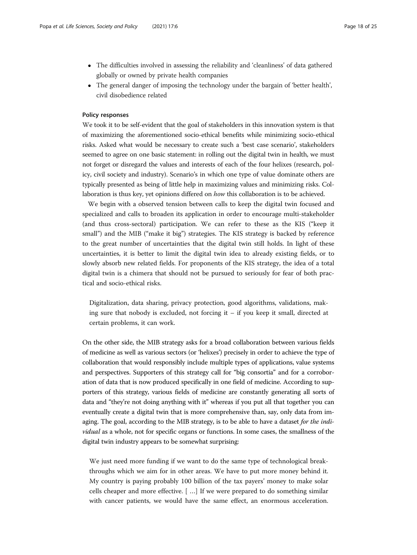- The difficulties involved in assessing the reliability and 'cleanliness' of data gathered globally or owned by private health companies
- The general danger of imposing the technology under the bargain of 'better health', civil disobedience related

#### Policy responses

We took it to be self-evident that the goal of stakeholders in this innovation system is that of maximizing the aforementioned socio-ethical benefits while minimizing socio-ethical risks. Asked what would be necessary to create such a 'best case scenario', stakeholders seemed to agree on one basic statement: in rolling out the digital twin in health, we must not forget or disregard the values and interests of each of the four helixes (research, policy, civil society and industry). Scenario's in which one type of value dominate others are typically presented as being of little help in maximizing values and minimizing risks. Collaboration is thus key, yet opinions differed on how this collaboration is to be achieved.

We begin with a observed tension between calls to keep the digital twin focused and specialized and calls to broaden its application in order to encourage multi-stakeholder (and thus cross-sectoral) participation. We can refer to these as the KIS ("keep it small") and the MIB ("make it big") strategies. The KIS strategy is backed by reference to the great number of uncertainties that the digital twin still holds. In light of these uncertainties, it is better to limit the digital twin idea to already existing fields, or to slowly absorb new related fields. For proponents of the KIS strategy, the idea of a total digital twin is a chimera that should not be pursued to seriously for fear of both practical and socio-ethical risks.

Digitalization, data sharing, privacy protection, good algorithms, validations, making sure that nobody is excluded, not forcing it – if you keep it small, directed at certain problems, it can work.

On the other side, the MIB strategy asks for a broad collaboration between various fields of medicine as well as various sectors (or 'helixes') precisely in order to achieve the type of collaboration that would responsibly include multiple types of applications, value systems and perspectives. Supporters of this strategy call for "big consortia" and for a corroboration of data that is now produced specifically in one field of medicine. According to supporters of this strategy, various fields of medicine are constantly generating all sorts of data and "they're not doing anything with it" whereas if you put all that together you can eventually create a digital twin that is more comprehensive than, say, only data from imaging. The goal, according to the MIB strategy, is to be able to have a dataset for the individual as a whole, not for specific organs or functions. In some cases, the smallness of the digital twin industry appears to be somewhat surprising:

We just need more funding if we want to do the same type of technological breakthroughs which we aim for in other areas. We have to put more money behind it. My country is paying probably 100 billion of the tax payers' money to make solar cells cheaper and more effective. [ …] If we were prepared to do something similar with cancer patients, we would have the same effect, an enormous acceleration.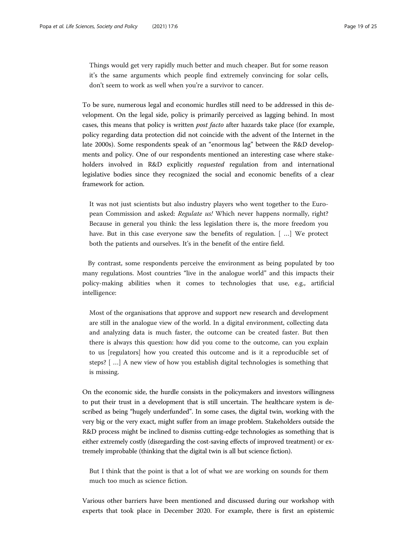Things would get very rapidly much better and much cheaper. But for some reason it's the same arguments which people find extremely convincing for solar cells, don't seem to work as well when you're a survivor to cancer.

To be sure, numerous legal and economic hurdles still need to be addressed in this development. On the legal side, policy is primarily perceived as lagging behind. In most cases, this means that policy is written post facto after hazards take place (for example, policy regarding data protection did not coincide with the advent of the Internet in the late 2000s). Some respondents speak of an "enormous lag" between the R&D developments and policy. One of our respondents mentioned an interesting case where stakeholders involved in R&D explicitly *requested* regulation from and international legislative bodies since they recognized the social and economic benefits of a clear framework for action.

It was not just scientists but also industry players who went together to the European Commission and asked: Regulate us! Which never happens normally, right? Because in general you think: the less legislation there is, the more freedom you have. But in this case everyone saw the benefits of regulation. [ …] We protect both the patients and ourselves. It's in the benefit of the entire field.

By contrast, some respondents perceive the environment as being populated by too many regulations. Most countries "live in the analogue world" and this impacts their policy-making abilities when it comes to technologies that use, e.g., artificial intelligence:

Most of the organisations that approve and support new research and development are still in the analogue view of the world. In a digital environment, collecting data and analyzing data is much faster, the outcome can be created faster. But then there is always this question: how did you come to the outcome, can you explain to us [regulators] how you created this outcome and is it a reproducible set of steps? [ …] A new view of how you establish digital technologies is something that is missing.

On the economic side, the hurdle consists in the policymakers and investors willingness to put their trust in a development that is still uncertain. The healthcare system is described as being "hugely underfunded". In some cases, the digital twin, working with the very big or the very exact, might suffer from an image problem. Stakeholders outside the R&D process might be inclined to dismiss cutting-edge technologies as something that is either extremely costly (disregarding the cost-saving effects of improved treatment) or extremely improbable (thinking that the digital twin is all but science fiction).

But I think that the point is that a lot of what we are working on sounds for them much too much as science fiction.

Various other barriers have been mentioned and discussed during our workshop with experts that took place in December 2020. For example, there is first an epistemic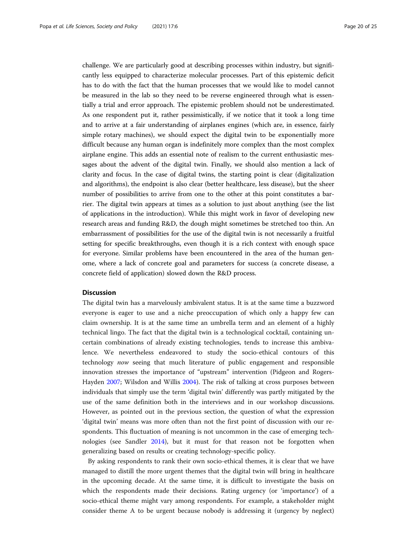challenge. We are particularly good at describing processes within industry, but significantly less equipped to characterize molecular processes. Part of this epistemic deficit has to do with the fact that the human processes that we would like to model cannot be measured in the lab so they need to be reverse engineered through what is essentially a trial and error approach. The epistemic problem should not be underestimated. As one respondent put it, rather pessimistically, if we notice that it took a long time and to arrive at a fair understanding of airplanes engines (which are, in essence, fairly simple rotary machines), we should expect the digital twin to be exponentially more difficult because any human organ is indefinitely more complex than the most complex airplane engine. This adds an essential note of realism to the current enthusiastic messages about the advent of the digital twin. Finally, we should also mention a lack of clarity and focus. In the case of digital twins, the starting point is clear (digitalization and algorithms), the endpoint is also clear (better healthcare, less disease), but the sheer number of possibilities to arrive from one to the other at this point constitutes a barrier. The digital twin appears at times as a solution to just about anything (see the list of applications in the introduction). While this might work in favor of developing new research areas and funding R&D, the dough might sometimes be stretched too thin. An embarrassment of possibilities for the use of the digital twin is not necessarily a fruitful setting for specific breakthroughs, even though it is a rich context with enough space for everyone. Similar problems have been encountered in the area of the human genome, where a lack of concrete goal and parameters for success (a concrete disease, a concrete field of application) slowed down the R&D process.

#### **Discussion**

The digital twin has a marvelously ambivalent status. It is at the same time a buzzword everyone is eager to use and a niche preoccupation of which only a happy few can claim ownership. It is at the same time an umbrella term and an element of a highly technical lingo. The fact that the digital twin is a technological cocktail, containing uncertain combinations of already existing technologies, tends to increase this ambivalence. We nevertheless endeavored to study the socio-ethical contours of this technology now seeing that much literature of public engagement and responsible innovation stresses the importance of "upstream" intervention (Pidgeon and Rogers-Hayden [2007;](#page-24-0) Wilsdon and Willis [2004](#page-24-0)). The risk of talking at cross purposes between individuals that simply use the term 'digital twin' differently was partly mitigated by the use of the same definition both in the interviews and in our workshop discussions. However, as pointed out in the previous section, the question of what the expression 'digital twin' means was more often than not the first point of discussion with our respondents. This fluctuation of meaning is not uncommon in the case of emerging technologies (see Sandler [2014](#page-24-0)), but it must for that reason not be forgotten when generalizing based on results or creating technology-specific policy.

By asking respondents to rank their own socio-ethical themes, it is clear that we have managed to distill the more urgent themes that the digital twin will bring in healthcare in the upcoming decade. At the same time, it is difficult to investigate the basis on which the respondents made their decisions. Rating urgency (or 'importance') of a socio-ethical theme might vary among respondents. For example, a stakeholder might consider theme A to be urgent because nobody is addressing it (urgency by neglect)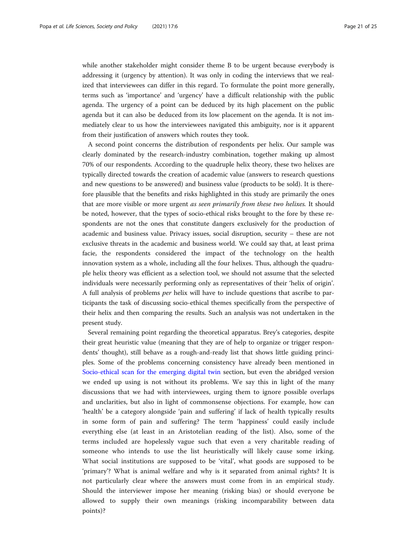while another stakeholder might consider theme B to be urgent because everybody is addressing it (urgency by attention). It was only in coding the interviews that we realized that interviewees can differ in this regard. To formulate the point more generally, terms such as 'importance' and 'urgency' have a difficult relationship with the public agenda. The urgency of a point can be deduced by its high placement on the public agenda but it can also be deduced from its low placement on the agenda. It is not immediately clear to us how the interviewees navigated this ambiguity, nor is it apparent from their justification of answers which routes they took.

A second point concerns the distribution of respondents per helix. Our sample was clearly dominated by the research-industry combination, together making up almost 70% of our respondents. According to the quadruple helix theory, these two helixes are typically directed towards the creation of academic value (answers to research questions and new questions to be answered) and business value (products to be sold). It is therefore plausible that the benefits and risks highlighted in this study are primarily the ones that are more visible or more urgent as seen primarily from these two helixes. It should be noted, however, that the types of socio-ethical risks brought to the fore by these respondents are not the ones that constitute dangers exclusively for the production of academic and business value. Privacy issues, social disruption, security – these are not exclusive threats in the academic and business world. We could say that, at least prima facie, the respondents considered the impact of the technology on the health innovation system as a whole, including all the four helixes. Thus, although the quadruple helix theory was efficient as a selection tool, we should not assume that the selected individuals were necessarily performing only as representatives of their 'helix of origin'. A full analysis of problems per helix will have to include questions that ascribe to participants the task of discussing socio-ethical themes specifically from the perspective of their helix and then comparing the results. Such an analysis was not undertaken in the present study.

Several remaining point regarding the theoretical apparatus. Brey's categories, despite their great heuristic value (meaning that they are of help to organize or trigger respondents' thought), still behave as a rough-and-ready list that shows little guiding principles. Some of the problems concerning consistency have already been mentioned in [Socio-ethical scan for the emerging digital twin](#page-2-0) section, but even the abridged version we ended up using is not without its problems. We say this in light of the many discussions that we had with interviewees, urging them to ignore possible overlaps and unclarities, but also in light of commonsense objections. For example, how can 'health' be a category alongside 'pain and suffering' if lack of health typically results in some form of pain and suffering? The term 'happiness' could easily include everything else (at least in an Aristotelian reading of the list). Also, some of the terms included are hopelessly vague such that even a very charitable reading of someone who intends to use the list heuristically will likely cause some irking. What social institutions are supposed to be 'vital', what goods are supposed to be 'primary'? What is animal welfare and why is it separated from animal rights? It is not particularly clear where the answers must come from in an empirical study. Should the interviewer impose her meaning (risking bias) or should everyone be allowed to supply their own meanings (risking incomparability between data points)?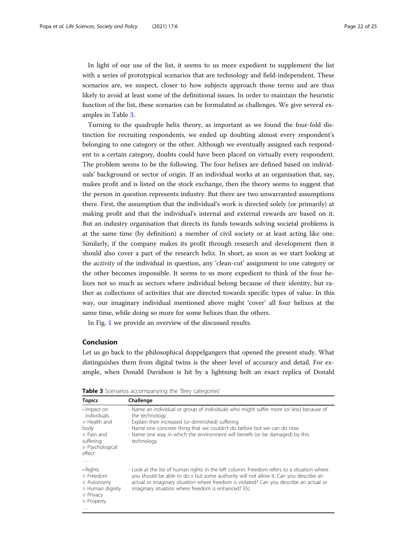In light of our use of the list, it seems to us more expedient to supplement the list with a series of prototypical scenarios that are technology and field-independent. These scenarios are, we suspect, closer to how subjects approach those terms and are thus likely to avoid at least some of the definitional issues. In order to maintain the heuristic function of the list, these scenarios can be formulated as challenges. We give several examples in Table 3.

Turning to the quadruple helix theory, as important as we found the four-fold distinction for recruiting respondents, we ended up doubting almost every respondent's belonging to one category or the other. Although we eventually assigned each respondent to a certain category, doubts could have been placed on virtually every respondent. The problem seems to be the following. The four helixes are defined based on individuals' background or sector of origin. If an individual works at an organisation that, say, makes profit and is listed on the stock exchange, then the theory seems to suggest that the person in question represents industry. But there are two unwarranted assumptions there. First, the assumption that the individual's work is directed solely (or primarily) at making profit and that the individual's internal and external rewards are based on it. But an industry organisation that directs its funds towards solving societal problems is at the same time (by definition) a member of civil society or at least acting like one. Similarly, if the company makes its profit through research and development then it should also cover a part of the research helix. In short, as soon as we start looking at the activity of the individual in question, any 'clean-cut' assignment to one category or the other becomes impossible. It seems to us more expedient to think of the four helixes not so much as sectors where individual belong because of their identity, but rather as collections of activities that are directed towards specific types of value. In this way, our imaginary individual mentioned above might 'cover' all four helixes at the same time, while doing so more for some helixes than the others.

In Fig. [1](#page-22-0) we provide an overview of the discussed results.

#### Conclusion

Let us go back to the philosophical doppelgangers that opened the present study. What distinguishes them from digital twins is the sheer level of accuracy and detail. For example, when Donald Davidson is hit by a lightning bolt an exact replica of Donald

| <b>Topics</b>                                                                                              | Challenge                                                                                                                                                                                                                                                                                                                                 |
|------------------------------------------------------------------------------------------------------------|-------------------------------------------------------------------------------------------------------------------------------------------------------------------------------------------------------------------------------------------------------------------------------------------------------------------------------------------|
| · Impact on<br>individuals<br>o Health and<br>body<br>o Pain and<br>suffering<br>o Psychological<br>effect | - Name an individual or group of individuals who might suffer more (or less) because of<br>the technology.<br>- Explain their increased (or diminished) suffering<br>- Name one concrete thing that we couldn't do before but we can do now<br>- Name one way in which the environment will benefit (or be damaged) by this<br>technology |
| .                                                                                                          |                                                                                                                                                                                                                                                                                                                                           |
| • Rights<br>o Freedom<br>o Autonomy<br>o Human dignity<br>o Privacy<br>o Property<br>$\cdots$              | - Look at the list of human rights in the left column. Freedom refers to a situation where<br>you should be able to do x but some authority will not allow it. Can you describe an<br>actual or imaginary situation where freedom is violated? Can you describe an actual or<br>imaginary situation where freedom is enhanced? Etc.       |

Table 3 Scenarios accompanying the 'Brey categories'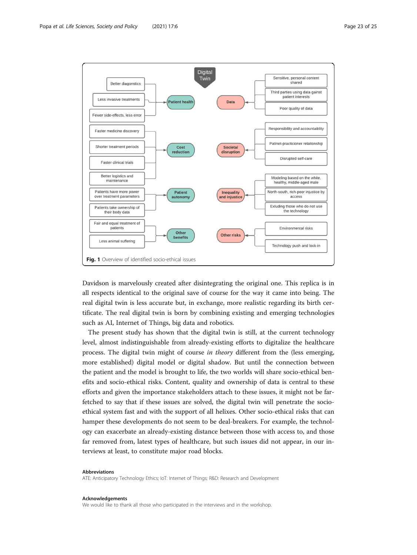<span id="page-22-0"></span>

Davidson is marvelously created after disintegrating the original one. This replica is in all respects identical to the original save of course for the way it came into being. The real digital twin is less accurate but, in exchange, more realistic regarding its birth certificate. The real digital twin is born by combining existing and emerging technologies such as AI, Internet of Things, big data and robotics.

The present study has shown that the digital twin is still, at the current technology level, almost indistinguishable from already-existing efforts to digitalize the healthcare process. The digital twin might of course in theory different from the (less emerging, more established) digital model or digital shadow. But until the connection between the patient and the model is brought to life, the two worlds will share socio-ethical benefits and socio-ethical risks. Content, quality and ownership of data is central to these efforts and given the importance stakeholders attach to these issues, it might not be farfetched to say that if these issues are solved, the digital twin will penetrate the socioethical system fast and with the support of all helixes. Other socio-ethical risks that can hamper these developments do not seem to be deal-breakers. For example, the technology can exacerbate an already-existing distance between those with access to, and those far removed from, latest types of healthcare, but such issues did not appear, in our interviews at least, to constitute major road blocks.

#### Abbreviations

ATE: Anticipatory Technology Ethics; IoT: Internet of Things; R&D: Research and Development

#### Acknowledgements

We would like to thank all those who participated in the interviews and in the workshop.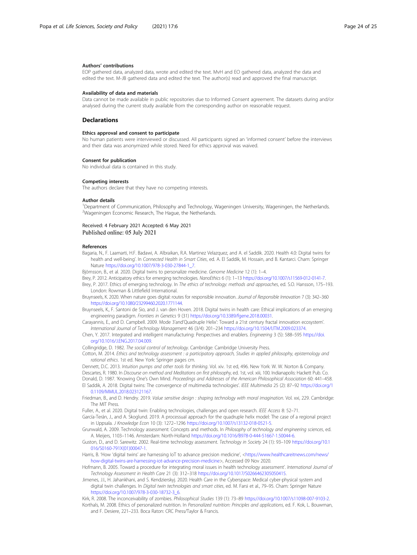#### <span id="page-23-0"></span>Authors' contributions

EOP gathered data, analyzed data, wrote and edited the text. MvH and EO gathered data, analyzed the data and edited the text. M-JB gathered data and edited the text. The author(s) read and approved the final manuscript.

#### Availability of data and materials

Data cannot be made available in public repositories due to Informed Consent agreement. The datasets during and/or analysed during the current study available from the corresponding author on reasonable request.

#### **Declarations**

#### Ethics approval and consent to participate

No human patients were interviewed or discussed. All participants signed an 'informed consent' before the interviews and their data was anonymized while stored. Need for ethics approval was waived.

#### Consent for publication

No individual data is contained in this study.

#### Competing interests

The authors declare that they have no competing interests.

#### Author details

<sup>1</sup>Department of Communication, Philosophy and Technology, Wageningen University, Wageningen, the Netherlands <sup>2</sup>Wageningen Economic Research, The Hague, the Netherlands.

#### Received: 4 February 2021 Accepted: 6 May 2021 Published online: 05 July 2021

#### References

Bagaria, N., F. Laamarti, H.F. Badawi, A. Albraikan, R.A. Martinez Velazquez, and A. el Saddik. 2020. Health 4.0: Digital twins for health and well-being'. In Connected Health in Smart Cities, ed. A. El Saddik, M. Hossain, and B. Kantarci. Cham: Springer Nature [https://doi.org/10.1007/978-3-030-27844-1\\_7.](https://doi.org/10.1007/978-3-030-27844-1_7)

Björnsson, B., et al. 2020. Digital twins to personalize medicine. Genome Medicine 12 (1): 1-4.

- Brey, P. 2012. Anticipatory ethics for emerging technologies. NanoEthics 6 (1): 1–13 <https://doi.org/10.1007/s11569-012-0141-7>.
- Brey, P. 2017. Ethics of emerging technology. In The ethics of technology: methods and approaches, ed. S.O. Hansson, 175–193. London: Rowman & Littlefield International.
- Bruynseels, K. 2020. When nature goes digital: routes for responsible innovation. Journal of Responsible Innovation 7 (3): 342–360 [https://doi.org/10.1080/23299460.2020.1771144.](https://doi.org/10.1080/23299460.2020.1771144)
- Bruynseels, K., F. Santoni de Sio, and J. van den Hoven. 2018. Digital twins in health care: Ethical implications of an emerging engineering paradigm. Frontiers in Genetics 9 (31) [https://doi.org/10.3389/fgene.2018.00031.](https://doi.org/10.3389/fgene.2018.00031)
- Carayannis, E., and D. Campbell. 2009. Mode 3'and'Quadruple Helix': Toward a 21st century fractal innovation ecosystem'. International Journal of Technology Management 46 (3/4): 201–234 [https://doi.org/10.1504/IJTM.2009.023374.](https://doi.org/10.1504/IJTM.2009.023374)
- Chen, Y. 2017. Integrated and intelligent manufacturing: Perspectives and enablers. Engineering 3 (5): 588–595 [https://doi.](https://doi.org/10.1016/J.ENG.2017.04.009) [org/10.1016/J.ENG.2017.04.009](https://doi.org/10.1016/J.ENG.2017.04.009).

Collingridge, D. 1982. The social control of technology. Cambridge: Cambridge University Press.

- Cotton, M. 2014. Ethics and technology assessment : a participatory approach, Studies in applied philosophy, epistemology and rational ethics. 1st ed. New York: Springer pages cm.
- Dennett, D.C. 2013. Intuition pumps and other tools for thinking. Vol. xiv. 1st ed, 496. New York: W. W. Norton & Company.
- Descartes, R. 1980. In Discourse on method and Meditations on first philosophy, ed. 1st, vol. xiii, 100. Indianapolis: Hackett Pub. Co.
- Donald, D. 1987. 'Knowing One's Own Mind. Proceedings and Addresses of the American Philosophical Association 60: 441–458. El Saddik, A. 2018. Digital twins: The convergence of multimedia technologies'. IEEE Multimedia 25 (2): 87–92 [https://doi.org/1](https://doi.org/10.1109/MMUL.2018.023121167) 0.1109/MMUL.2018.023121167
- Friedman, B., and D. Hendry. 2019. Value sensitive design : shaping technology with moral imagination. Vol. xxi, 229. Cambridge: The MIT Press.
- Fuller, A., et al. 2020. Digital twin: Enabling technologies, challenges and open research. IEEE Access 8: 52–71.

García-Terán, J., and A. Skoglund. 2019. A processual approach for the quadruple helix model: The case of a regional project in Uppsala. J Knowledge Econ 10 (3): 1272–1296 [https://doi.org/10.1007/s13132-018-0521-5.](https://doi.org/10.1007/s13132-018-0521-5)

Grunwald, A. 2009. Technology assessment: Concepts and methods. In Philosophy of technology and engineering sciences, ed. A. Meijers, 1103–1146. Amsterdam: North-Holland [https://doi.org/10.1016/B978-0-444-51667-1.50044-6.](https://doi.org/10.1016/B978-0-444-51667-1.50044-6)

Guston, D., and D. Sarewitz. 2002. Real-time technology assessment. Technology in Society 24 (1): 93–109 [https://doi.org/10.1](https://doi.org/10.1016/S0160-791X(01)00047-1) [016/S0160-791X\(01\)00047-1.](https://doi.org/10.1016/S0160-791X(01)00047-1)

Harris, B. 'How 'digital twins' are harnessing IoT to advance precision medicine', <[https://www.healthcareitnews.com/news/](https://www.healthcareitnews.com/news/how-digital-twins-are-harnessing-iot-advance-precision-medicine) [how-digital-twins-are-harnessing-iot-advance-precision-medicine>](https://www.healthcareitnews.com/news/how-digital-twins-are-harnessing-iot-advance-precision-medicine), Accessed 09 Nov 2020.

Hofmann, B. 2005. Toward a procedure for integrating moral issues in health technology assessment'. International Journal of Technology Assessment in Health Care 21 (3): 312–318 <https://doi.org/10.1017/S0266462305050415>.

Jimenes, J.I., H. Jahankhani, and S. Kendzierskyj. 2020. Health Care in the Cyberspace: Medical cyber-physical system and digital twin challenges. In Digital twin technologies and smart cities, ed. M. Farsi et al., 79–95. Cham: Springer Nature [https://doi.org/10.1007/978-3-030-18732-3\\_6](https://doi.org/10.1007/978-3-030-18732-3_6).

Kirk, R. 2008. The inconceivability of zombies. Philosophical Studies 139 (1): 73–89 <https://doi.org/10.1007/s11098-007-9103-2>.

Korthals, M. 2008. Ethics of personalized nutrition. In Personalized nutrition: Principles and applications, ed. F. Kok, L. Bouwman, and F. Desiere, 221–233. Boca Raton: CRC Press/Taylor & Francis.